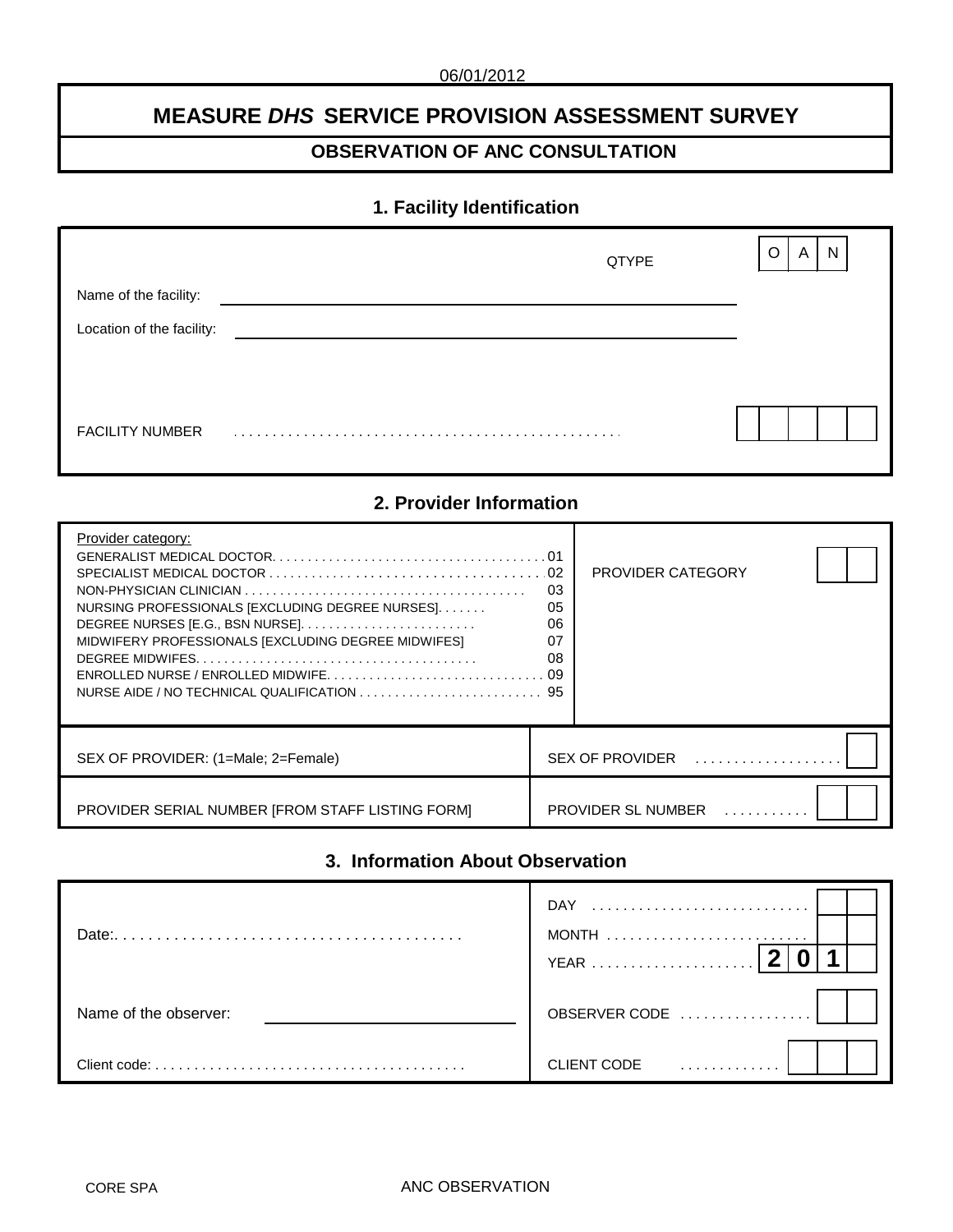# **MEASURE** *DHS* **SERVICE PROVISION ASSESSMENT SURVEY**

# **OBSERVATION OF ANC CONSULTATION**

# **1. Facility Identification**

|                           | QTYPE | N<br>O<br>A |
|---------------------------|-------|-------------|
| Name of the facility:     |       |             |
| Location of the facility: |       |             |
|                           |       |             |
|                           |       |             |
| <b>FACILITY NUMBER</b>    |       |             |

# **2. Provider Information**

| Provider category:<br>SPECIALIST MEDICAL DOCTOR $\ldots \ldots \ldots \ldots \ldots \ldots \ldots \ldots \ldots \ldots \ldots \ldots \ldots$<br>NURSING PROFESSIONALS [EXCLUDING DEGREE NURSES].<br>MIDWIFERY PROFESSIONALS [EXCLUDING DEGREE MIDWIFES]<br>$ENROLLED NURSE / ENROLLED MIDWIFE, , , , , , , , 09$ | . 01<br>02<br>03<br>05<br>06<br>07<br>08 | <b>PROVIDER CATEGORY</b>                           |  |
|------------------------------------------------------------------------------------------------------------------------------------------------------------------------------------------------------------------------------------------------------------------------------------------------------------------|------------------------------------------|----------------------------------------------------|--|
| SEX OF PROVIDER: (1=Male: 2=Female)                                                                                                                                                                                                                                                                              |                                          | $SEX$ OF PROVIDER $\ldots, \ldots, \ldots, \ldots$ |  |
| PROVIDER SERIAL NUMBER [FROM STAFF LISTING FORM]                                                                                                                                                                                                                                                                 |                                          | PROVIDER SL NUMBER                                 |  |

# **3. Information About Observation**

| Date:                 | DAY<br>MONTH     |
|-----------------------|------------------|
| Name of the observer: | OBSERVER CODE    |
| Client code:          | CLIENT CODE<br>. |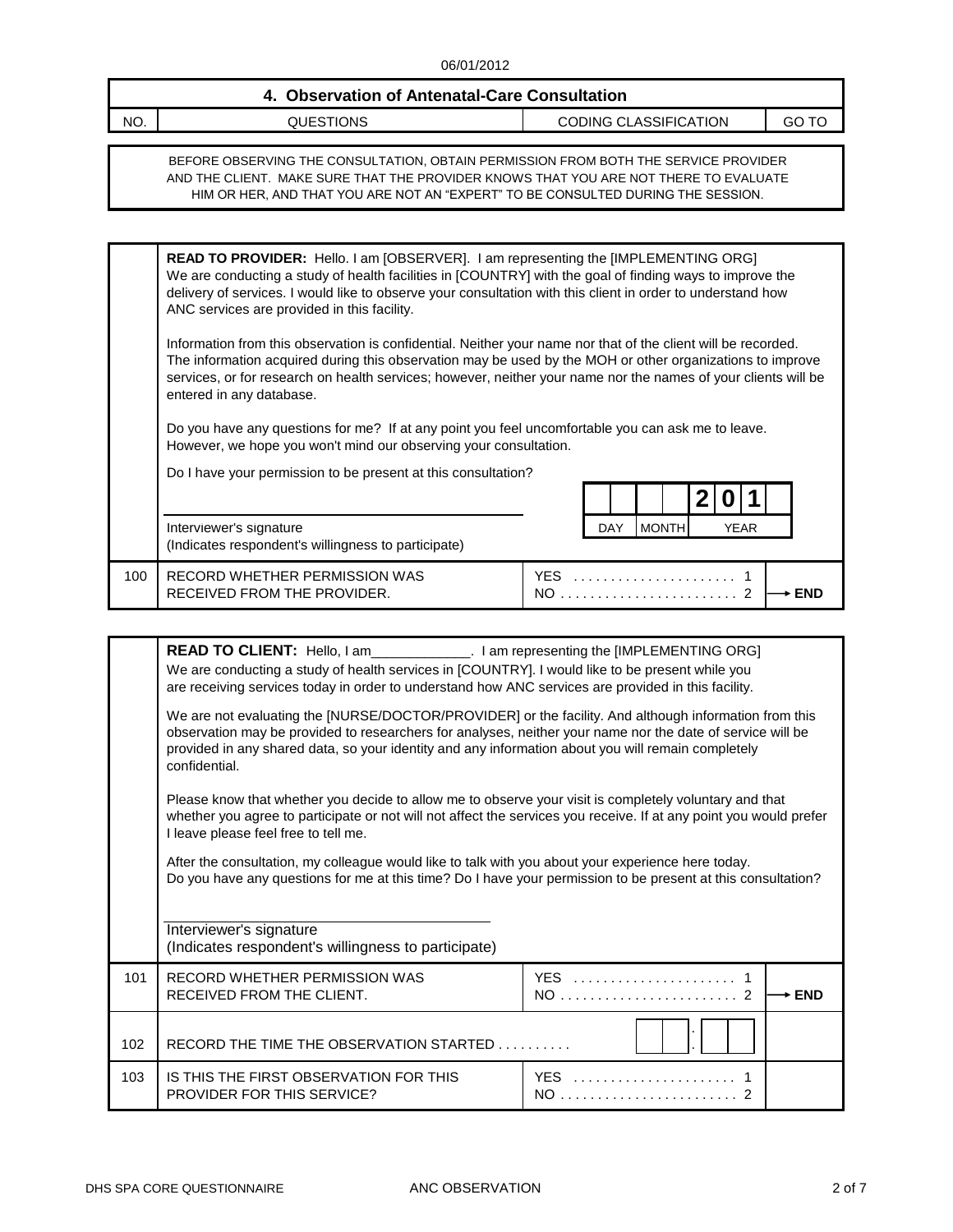| 4. Observation of Antenatal-Care Consultation |           |                       |       |  |  |  |
|-----------------------------------------------|-----------|-----------------------|-------|--|--|--|
| NO.                                           | QUESTIONS | CODING CLASSIFICATION | GO TC |  |  |  |

BEFORE OBSERVING THE CONSULTATION, OBTAIN PERMISSION FROM BOTH THE SERVICE PROVIDER AND THE CLIENT. MAKE SURE THAT THE PROVIDER KNOWS THAT YOU ARE NOT THERE TO EVALUATE HIM OR HER, AND THAT YOU ARE NOT AN "EXPERT" TO BE CONSULTED DURING THE SESSION.

|     | <b>READ TO PROVIDER:</b> Hello. I am [OBSERVER]. I am representing the [IMPLEMENTING ORG]<br>We are conducting a study of health facilities in [COUNTRY] with the goal of finding ways to improve the<br>delivery of services. I would like to observe your consultation with this client in order to understand how<br>ANC services are provided in this facility.      |             |            |              |  |             |  |            |
|-----|--------------------------------------------------------------------------------------------------------------------------------------------------------------------------------------------------------------------------------------------------------------------------------------------------------------------------------------------------------------------------|-------------|------------|--------------|--|-------------|--|------------|
|     | Information from this observation is confidential. Neither your name nor that of the client will be recorded.<br>The information acquired during this observation may be used by the MOH or other organizations to improve<br>services, or for research on health services; however, neither your name nor the names of your clients will be<br>entered in any database. |             |            |              |  |             |  |            |
|     | Do you have any questions for me? If at any point you feel uncomfortable you can ask me to leave.<br>However, we hope you won't mind our observing your consultation.                                                                                                                                                                                                    |             |            |              |  |             |  |            |
|     | Do I have your permission to be present at this consultation?                                                                                                                                                                                                                                                                                                            |             |            |              |  |             |  |            |
|     |                                                                                                                                                                                                                                                                                                                                                                          |             |            |              |  |             |  |            |
|     | Interviewer's signature<br>(Indicates respondent's willingness to participate)                                                                                                                                                                                                                                                                                           |             | <b>DAY</b> | <b>MONTH</b> |  | <b>YEAR</b> |  |            |
|     |                                                                                                                                                                                                                                                                                                                                                                          |             |            |              |  |             |  |            |
| 100 | RECORD WHETHER PERMISSION WAS<br>RECEIVED FROM THE PROVIDER.                                                                                                                                                                                                                                                                                                             | YES.<br>NO. |            |              |  |             |  | <b>END</b> |

|     | <b>READ TO CLIENT:</b> Hello, I am______________. I am representing the [IMPLEMENTING ORG]<br>We are conducting a study of health services in [COUNTRY]. I would like to be present while you<br>are receiving services today in order to understand how ANC services are provided in this facility.                                       |                   |  |  |  |  |
|-----|--------------------------------------------------------------------------------------------------------------------------------------------------------------------------------------------------------------------------------------------------------------------------------------------------------------------------------------------|-------------------|--|--|--|--|
|     | We are not evaluating the [NURSE/DOCTOR/PROVIDER] or the facility. And although information from this<br>observation may be provided to researchers for analyses, neither your name nor the date of service will be<br>provided in any shared data, so your identity and any information about you will remain completely<br>confidential. |                   |  |  |  |  |
|     | Please know that whether you decide to allow me to observe your visit is completely voluntary and that<br>whether you agree to participate or not will not affect the services you receive. If at any point you would prefer<br>I leave please feel free to tell me.                                                                       |                   |  |  |  |  |
|     | After the consultation, my colleague would like to talk with you about your experience here today.<br>Do you have any questions for me at this time? Do I have your permission to be present at this consultation?                                                                                                                         |                   |  |  |  |  |
|     | Interviewer's signature<br>(Indicates respondent's willingness to participate)                                                                                                                                                                                                                                                             |                   |  |  |  |  |
| 101 | RECORD WHETHER PERMISSION WAS<br>RECEIVED FROM THE CLIENT.                                                                                                                                                                                                                                                                                 | $\rightarrow$ END |  |  |  |  |
| 102 | RECORD THE TIME THE OBSERVATION STARTED                                                                                                                                                                                                                                                                                                    |                   |  |  |  |  |
| 103 | IS THIS THE FIRST OBSERVATION FOR THIS<br><b>PROVIDER FOR THIS SERVICE?</b>                                                                                                                                                                                                                                                                | YES<br>$NO$       |  |  |  |  |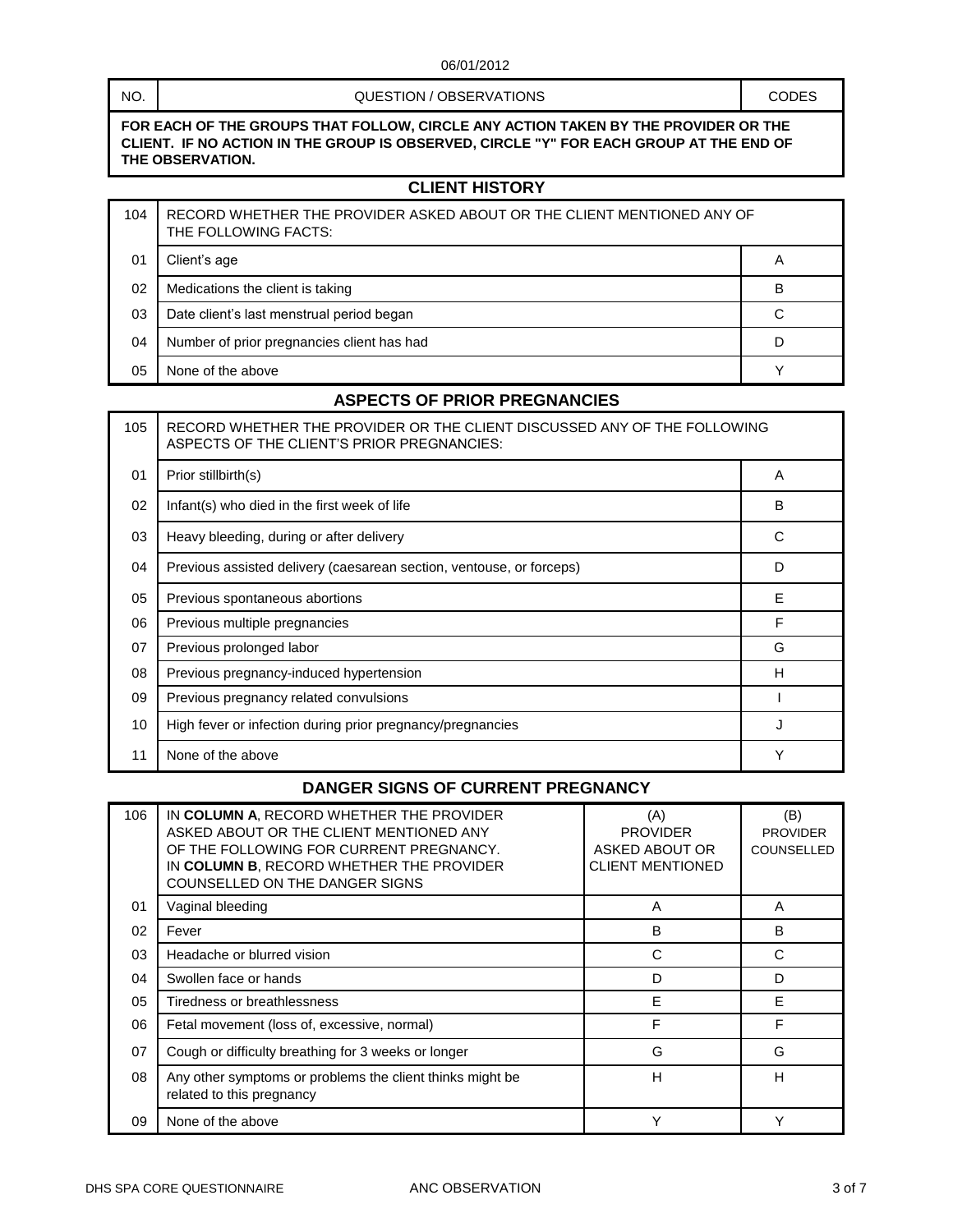#### QUESTION / OBSERVATIONS  $\qquad \qquad$  CODES

**FOR EACH OF THE GROUPS THAT FOLLOW, CIRCLE ANY ACTION TAKEN BY THE PROVIDER OR THE CLIENT. IF NO ACTION IN THE GROUP IS OBSERVED, CIRCLE "Y" FOR EACH GROUP AT THE END OF THE OBSERVATION.**

#### **CLIENT HISTORY**

| 104 | RECORD WHETHER THE PROVIDER ASKED ABOUT OR THE CLIENT MENTIONED ANY OF<br>THE FOLLOWING FACTS: |             |  |  |
|-----|------------------------------------------------------------------------------------------------|-------------|--|--|
| 01  | Client's age                                                                                   | A           |  |  |
| 02  | Medications the client is taking                                                               | в           |  |  |
| 03  | Date client's last menstrual period began                                                      | С           |  |  |
| 04  | Number of prior pregnancies client has had                                                     | D           |  |  |
| 05  | None of the above                                                                              | $\check{ }$ |  |  |

#### **ASPECTS OF PRIOR PREGNANCIES**

| 105 | RECORD WHETHER THE PROVIDER OR THE CLIENT DISCUSSED ANY OF THE FOLLOWING<br>ASPECTS OF THE CLIENT'S PRIOR PREGNANCIES: |   |  |  |  |
|-----|------------------------------------------------------------------------------------------------------------------------|---|--|--|--|
| 01  | Prior stillbirth(s)                                                                                                    | A |  |  |  |
| 02  | Infant(s) who died in the first week of life                                                                           | B |  |  |  |
| 03  | Heavy bleeding, during or after delivery                                                                               | C |  |  |  |
| 04  | Previous assisted delivery (caesarean section, ventouse, or forceps)                                                   | D |  |  |  |
| 05  | Previous spontaneous abortions                                                                                         | F |  |  |  |
| 06  | Previous multiple pregnancies                                                                                          | F |  |  |  |
| 07  | Previous prolonged labor                                                                                               | G |  |  |  |
| 08  | Previous pregnancy-induced hypertension                                                                                | н |  |  |  |
| 09  | Previous pregnancy related convulsions                                                                                 |   |  |  |  |
| 10  | High fever or infection during prior pregnancy/pregnancies                                                             | J |  |  |  |
| 11  | None of the above                                                                                                      | Υ |  |  |  |

## **DANGER SIGNS OF CURRENT PREGNANCY**

| 106 | IN COLUMN A, RECORD WHETHER THE PROVIDER<br>ASKED ABOUT OR THE CLIENT MENTIONED ANY<br>OF THE FOLLOWING FOR CURRENT PREGNANCY.<br>IN COLUMN B, RECORD WHETHER THE PROVIDER<br>COUNSELLED ON THE DANGER SIGNS | (A)<br><b>PROVIDER</b><br>ASKED ABOUT OR<br><b>CLIENT MENTIONED</b> | (B)<br><b>PROVIDER</b><br>COUNSELLED |
|-----|--------------------------------------------------------------------------------------------------------------------------------------------------------------------------------------------------------------|---------------------------------------------------------------------|--------------------------------------|
| 01  | Vaginal bleeding                                                                                                                                                                                             | A                                                                   | А                                    |
| 02  | Fever                                                                                                                                                                                                        | B                                                                   | B                                    |
| 03  | Headache or blurred vision                                                                                                                                                                                   | C                                                                   | C                                    |
| 04  | Swollen face or hands                                                                                                                                                                                        | D                                                                   | D                                    |
| 05  | Tiredness or breathlessness                                                                                                                                                                                  | F                                                                   | F                                    |
| 06  | Fetal movement (loss of, excessive, normal)                                                                                                                                                                  | F                                                                   | F                                    |
| 07  | Cough or difficulty breathing for 3 weeks or longer                                                                                                                                                          | G                                                                   | G                                    |
| 08  | Any other symptoms or problems the client thinks might be<br>related to this pregnancy                                                                                                                       | н                                                                   | н                                    |
| 09  | None of the above                                                                                                                                                                                            | $\check{ }$                                                         | ٧                                    |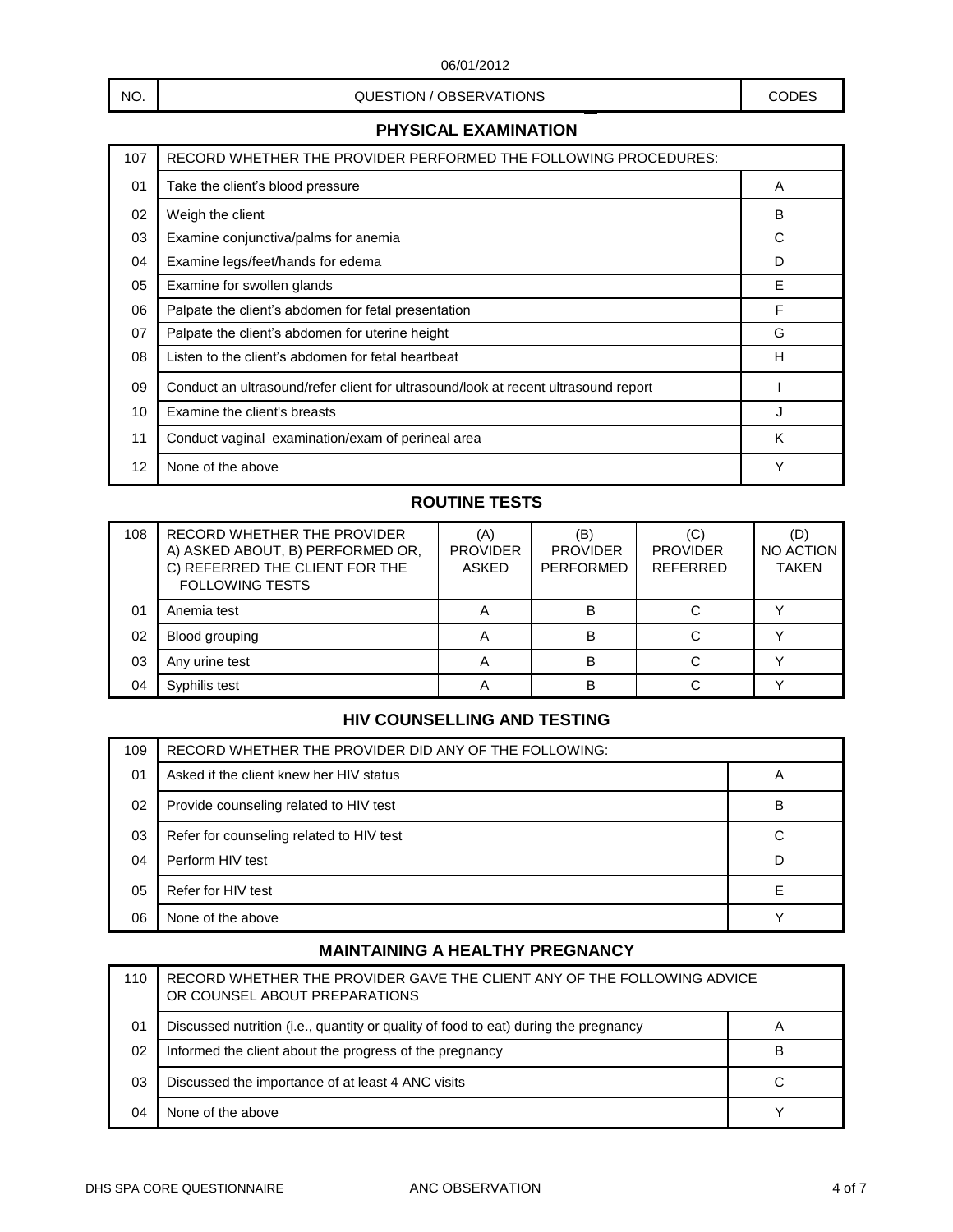### NO. NO. A CODES CODES RESERVATIONS AND CODES

## **PHYSICAL EXAMINATION**

| 107 | RECORD WHETHER THE PROVIDER PERFORMED THE FOLLOWING PROCEDURES:                    |   |
|-----|------------------------------------------------------------------------------------|---|
| 01  | Take the client's blood pressure                                                   | A |
| 02  | Weigh the client                                                                   | B |
| 03  | Examine conjunctiva/palms for anemia                                               | С |
| 04  | Examine legs/feet/hands for edema                                                  | D |
| 05  | Examine for swollen glands                                                         | Е |
| 06  | Palpate the client's abdomen for fetal presentation                                | F |
| 07  | Palpate the client's abdomen for uterine height                                    | G |
| 08  | Listen to the client's abdomen for fetal heartbeat                                 | H |
| 09  | Conduct an ultrasound/refer client for ultrasound/look at recent ultrasound report |   |
| 10  | Examine the client's breasts                                                       | J |
| 11  | Conduct vaginal examination/exam of perineal area                                  | K |
| 12  | None of the above                                                                  | Υ |

# **ROUTINE TESTS**

| 108 | RECORD WHETHER THE PROVIDER<br>A) ASKED ABOUT, B) PERFORMED OR,<br>C) REFERRED THE CLIENT FOR THE<br><b>FOLLOWING TESTS</b> | (A)<br><b>PROVIDER</b><br>ASKED | (B)<br><b>PROVIDER</b><br>PERFORMED | <b>PROVIDER</b><br><b>REFERRED</b> | (D)<br>NO ACTION<br><b>TAKEN</b> |
|-----|-----------------------------------------------------------------------------------------------------------------------------|---------------------------------|-------------------------------------|------------------------------------|----------------------------------|
| 01  | Anemia test                                                                                                                 |                                 | в                                   |                                    |                                  |
| 02  | Blood grouping                                                                                                              | A                               | B                                   |                                    |                                  |
| 03  | Any urine test                                                                                                              |                                 | B                                   |                                    |                                  |
| 04  | Svphilis test                                                                                                               |                                 | в                                   |                                    |                                  |

# **HIV COUNSELLING AND TESTING**

| 109 | RECORD WHETHER THE PROVIDER DID ANY OF THE FOLLOWING: |   |
|-----|-------------------------------------------------------|---|
| 01  | Asked if the client knew her HIV status               | A |
| 02  | Provide counseling related to HIV test                | B |
| 03  | Refer for counseling related to HIV test              | С |
| 04  | Perform HIV test                                      |   |
| 05  | Refer for HIV test                                    | F |
| 06  | None of the above                                     |   |

# **MAINTAINING A HEALTHY PREGNANCY**

| 110 | RECORD WHETHER THE PROVIDER GAVE THE CLIENT ANY OF THE FOLLOWING ADVICE<br>OR COUNSEL ABOUT PREPARATIONS |             |
|-----|----------------------------------------------------------------------------------------------------------|-------------|
| 01  | Discussed nutrition (i.e., quantity or quality of food to eat) during the pregnancy                      | Α           |
| 02  | Informed the client about the progress of the pregnancy                                                  | B           |
| 03  | Discussed the importance of at least 4 ANC visits                                                        | С           |
| 04  | None of the above                                                                                        | $\check{ }$ |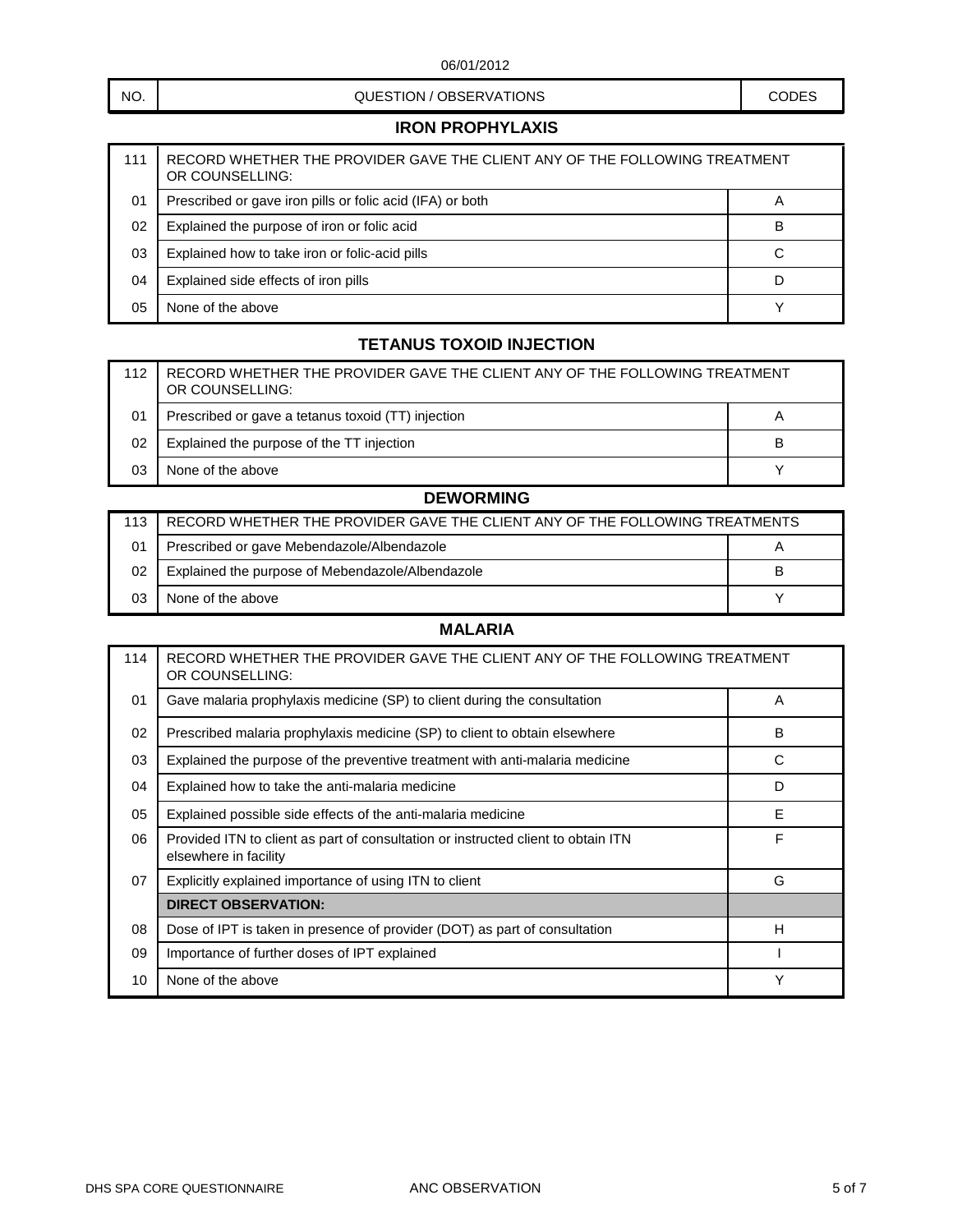## NO. NO. A CODES CODES RESERVATIONS AND CODES

## **IRON PROPHYLAXIS**

| 111 | RECORD WHETHER THE PROVIDER GAVE THE CLIENT ANY OF THE FOLLOWING TREATMENT<br>OR COUNSELLING: |                |
|-----|-----------------------------------------------------------------------------------------------|----------------|
| 01  | Prescribed or gave iron pills or folic acid (IFA) or both                                     | $\overline{A}$ |
| 02  | Explained the purpose of iron or folic acid                                                   | B              |
| 03  | Explained how to take iron or folic-acid pills                                                | С              |
| 04  | Explained side effects of iron pills                                                          |                |
| 05  | None of the above                                                                             |                |

# **TETANUS TOXOID INJECTION**

| 112 | RECORD WHETHER THE PROVIDER GAVE THE CLIENT ANY OF THE FOLLOWING TREATMENT<br>OR COUNSELLING: |   |
|-----|-----------------------------------------------------------------------------------------------|---|
| 01  | Prescribed or gave a tetanus toxoid (TT) injection                                            | A |
| 02  | Explained the purpose of the TT injection                                                     | в |
| 03  | None of the above                                                                             |   |

# **DEWORMING**

| 113 | RECORD WHETHER THE PROVIDER GAVE THE CLIENT ANY OF THE FOLLOWING TREATMENTS |   |
|-----|-----------------------------------------------------------------------------|---|
| 01  | Prescribed or gave Mebendazole/Albendazole                                  | A |
| 02  | Explained the purpose of Mebendazole/Albendazole                            | в |
| 03  | None of the above                                                           |   |

### **MALARIA**

| 114 | RECORD WHETHER THE PROVIDER GAVE THE CLIENT ANY OF THE FOLLOWING TREATMENT<br>OR COUNSELLING:              |   |
|-----|------------------------------------------------------------------------------------------------------------|---|
| 01  | Gave malaria prophylaxis medicine (SP) to client during the consultation                                   |   |
| 02  | Prescribed malaria prophylaxis medicine (SP) to client to obtain elsewhere                                 | В |
| 03  | Explained the purpose of the preventive treatment with anti-malaria medicine                               | C |
| 04  | Explained how to take the anti-malaria medicine<br>D                                                       |   |
| 05  | Explained possible side effects of the anti-malaria medicine                                               | E |
| 06  | Provided ITN to client as part of consultation or instructed client to obtain ITN<br>elsewhere in facility | F |
| 07  | Explicitly explained importance of using ITN to client                                                     | G |
|     | <b>DIRECT OBSERVATION:</b>                                                                                 |   |
| 08  | Dose of IPT is taken in presence of provider (DOT) as part of consultation                                 | H |
| 09  | Importance of further doses of IPT explained                                                               |   |
| 10  | None of the above                                                                                          | Υ |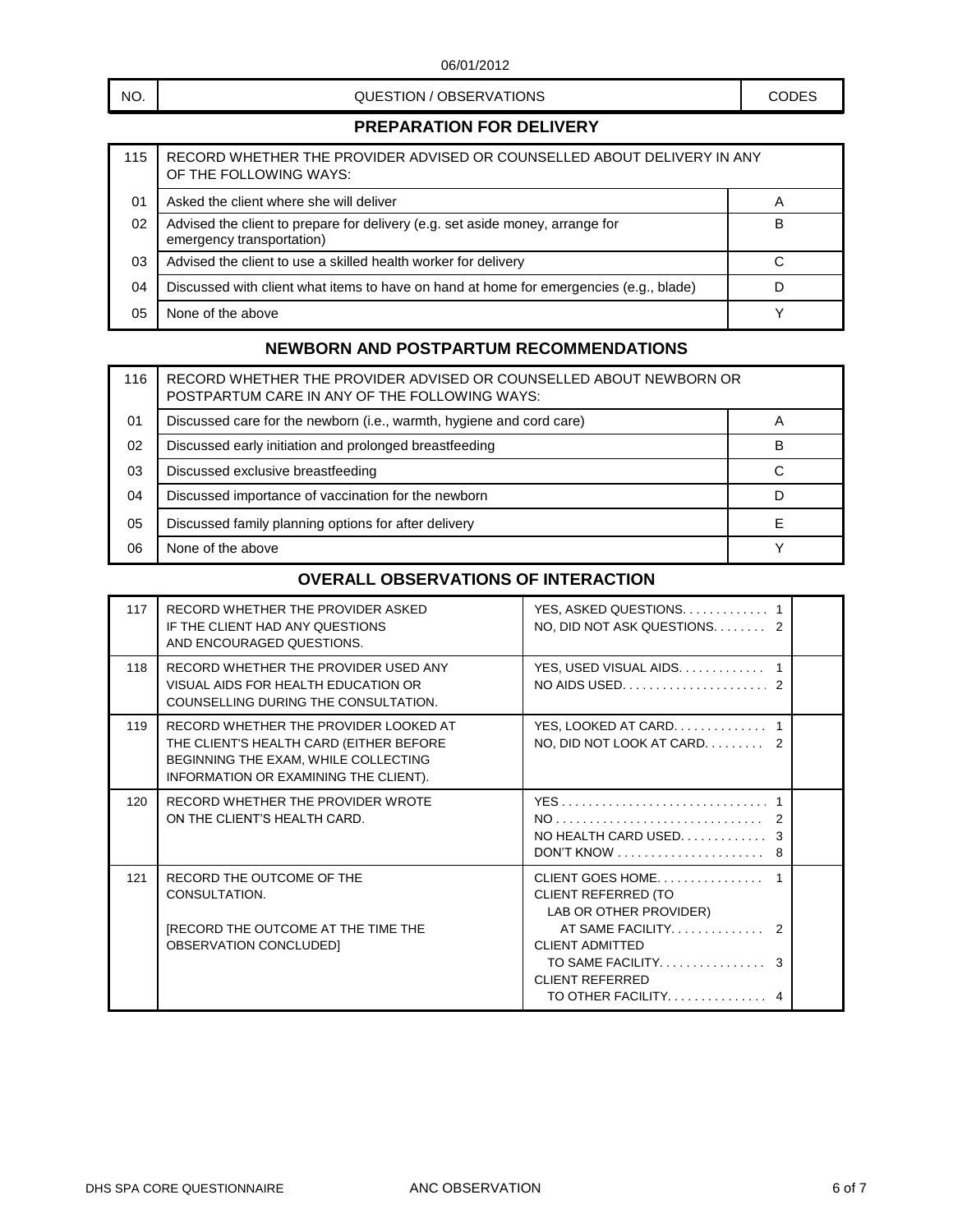### NO. NO. A CODES CODES RESERVATIONS AND CODES

## **PREPARATION FOR DELIVERY**

| 115 | RECORD WHETHER THE PROVIDER ADVISED OR COUNSELLED ABOUT DELIVERY IN ANY<br>OF THE FOLLOWING WAYS:          |   |
|-----|------------------------------------------------------------------------------------------------------------|---|
| 01  | Asked the client where she will deliver                                                                    |   |
| 02  | Advised the client to prepare for delivery (e.g. set aside money, arrange for<br>emergency transportation) | B |
| 03  | Advised the client to use a skilled health worker for delivery                                             |   |
| 04  | Discussed with client what items to have on hand at home for emergencies (e.g., blade)                     |   |
| 05  | None of the above                                                                                          |   |

## **NEWBORN AND POSTPARTUM RECOMMENDATIONS**

| 116 | RECORD WHETHER THE PROVIDER ADVISED OR COUNSELLED ABOUT NEWBORN OR<br>POSTPARTUM CARE IN ANY OF THE FOLLOWING WAYS: |   |
|-----|---------------------------------------------------------------------------------------------------------------------|---|
| 01  | Discussed care for the newborn (i.e., warmth, hygiene and cord care)                                                | A |
| 02  | Discussed early initiation and prolonged breastfeeding                                                              | в |
| 03  | Discussed exclusive breastfeeding                                                                                   | C |
| 04  | Discussed importance of vaccination for the newborn                                                                 | D |
| 05  | Discussed family planning options for after delivery                                                                |   |
| 06  | None of the above                                                                                                   |   |

# **OVERALL OBSERVATIONS OF INTERACTION**

| 117 | RECORD WHETHER THE PROVIDER ASKED<br>IF THE CLIENT HAD ANY QUESTIONS<br>AND ENCOURAGED QUESTIONS.                                                                 | YES, ASKED QUESTIONS 1<br>NO, DID NOT ASK QUESTIONS 2                                                                                                                                            |
|-----|-------------------------------------------------------------------------------------------------------------------------------------------------------------------|--------------------------------------------------------------------------------------------------------------------------------------------------------------------------------------------------|
| 118 | RECORD WHETHER THE PROVIDER USED ANY<br>VISUAL AIDS FOR HEALTH EDUCATION OR<br>COUNSELLING DURING THE CONSULTATION.                                               | YES, USED VISUAL AIDS.<br>NO AIDS USED. $\ldots$ , 2                                                                                                                                             |
| 119 | RECORD WHETHER THE PROVIDER LOOKED AT<br>THE CLIENT'S HEALTH CARD (EITHER BEFORE<br>BEGINNING THE EXAM, WHILE COLLECTING<br>INFORMATION OR EXAMINING THE CLIENT). | NO, DID NOT LOOK AT CARD 2                                                                                                                                                                       |
| 120 | RECORD WHETHER THE PROVIDER WROTE<br>ON THE CLIENT'S HEALTH CARD.                                                                                                 |                                                                                                                                                                                                  |
| 121 | RECORD THE OUTCOME OF THE<br>CONSULTATION.<br><b>IRECORD THE OUTCOME AT THE TIME THE</b><br>OBSERVATION CONCLUDED]                                                | CLIENT GOES HOME<br><b>CLIENT REFERRED (TO</b><br>LAB OR OTHER PROVIDER)<br>AT SAME FACILITY.<br><b>CLIENT ADMITTED</b><br>TO SAME FACILITY.<br><b>CLIENT REFERRED</b><br>TO OTHER FACILITY<br>4 |